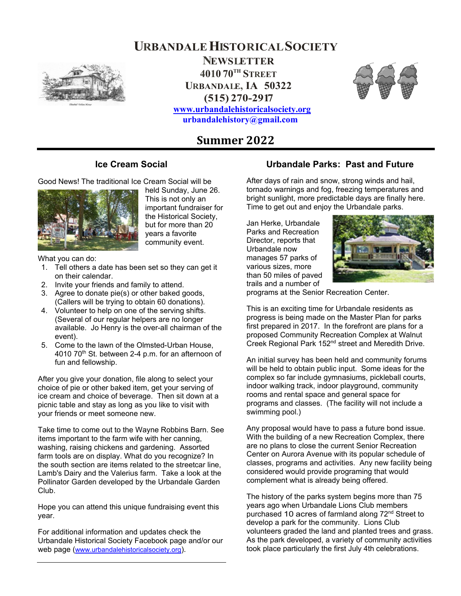**NEWSLETTER 4010 70TH STREET URBANDALE, IA 50322 (515) 270-2917**

**URBANDALE HISTORICAL SOCIETY**

**www.urbandalehistoricalsociety.org urbandalehistory@gmail.com** 



# **Summer 2022**

## **Ice Cream Social**

Good News! The traditional Ice Cream Social will be



held Sunday, June 26. This is not only an important fundraiser for the Historical Society, but for more than 20 years a favorite community event.

What you can do:

- 1. Tell others a date has been set so they can get it on their calendar.
- 2. Invite your friends and family to attend.
- 3. Agree to donate pie(s) or other baked goods, (Callers will be trying to obtain 60 donations).
- 4. Volunteer to help on one of the serving shifts. (Several of our regular helpers are no longer available. Jo Henry is the over-all chairman of the event).
- 5. Come to the lawn of the Olmsted-Urban House, 4010 70<sup>th</sup> St. between 2-4 p.m. for an afternoon of fun and fellowship.

After you give your donation, file along to select your choice of pie or other baked item, get your serving of ice cream and choice of beverage. Then sit down at a picnic table and stay as long as you like to visit with your friends or meet someone new.

Take time to come out to the Wayne Robbins Barn. See items important to the farm wife with her canning, washing, raising chickens and gardening. Assorted farm tools are on display. What do you recognize? In the south section are items related to the streetcar line, Lamb's Dairy and the Valerius farm. Take a look at the Pollinator Garden developed by the Urbandale Garden Club.

Hope you can attend this unique fundraising event this year.

For additional information and updates check the Urbandale Historical Society Facebook page and/or our web page (www.urbandalehistoricalsociety.org).

## **Urbandale Parks: Past and Future**

After days of rain and snow, strong winds and hail, tornado warnings and fog, freezing temperatures and bright sunlight, more predictable days are finally here. Time to get out and enjoy the Urbandale parks.

Jan Herke, Urbandale Parks and Recreation Director, reports that Urbandale now manages 57 parks of various sizes, more than 50 miles of paved trails and a number of



programs at the Senior Recreation Center.

This is an exciting time for Urbandale residents as progress is being made on the Master Plan for parks first prepared in 2017. In the forefront are plans for a proposed Community Recreation Complex at Walnut Creek Regional Park 152nd street and Meredith Drive.

An initial survey has been held and community forums will be held to obtain public input. Some ideas for the complex so far include gymnasiums, pickleball courts, indoor walking track, indoor playground, community rooms and rental space and general space for programs and classes. (The facility will not include a swimming pool.)

Any proposal would have to pass a future bond issue. With the building of a new Recreation Complex, there are no plans to close the current Senior Recreation Center on Aurora Avenue with its popular schedule of classes, programs and activities. Any new facility being considered would provide programing that would complement what is already being offered.

The history of the parks system begins more than 75 years ago when Urbandale Lions Club members purchased 10 acres of farmland along 72<sup>nd</sup> Street to develop a park for the community. Lions Club volunteers graded the land and planted trees and grass. As the park developed, a variety of community activities took place particularly the first July 4th celebrations.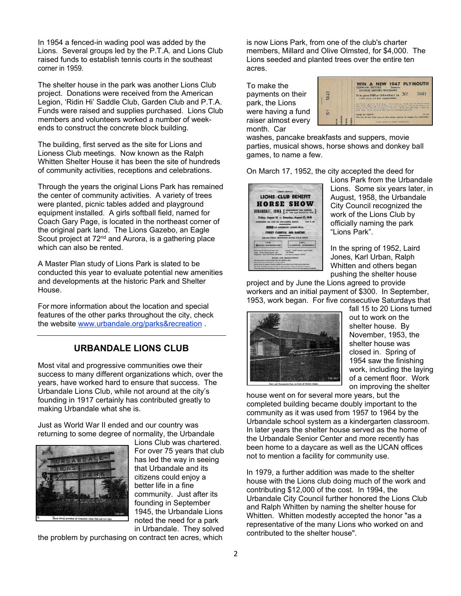In 1954 a fenced-in wading pool was added by the Lions. Several groups led by the P.T.A. and Lions Club raised funds to establish tennis courts in the southeast corner in 1959.

The shelter house in the park was another Lions Club project. Donations were received from the American Legion, 'Ridin Hi' Saddle Club, Garden Club and P.T.A. Funds were raised and supplies purchased. Lions Club members and volunteers worked a number of weekends to construct the concrete block building.

The building, first served as the site for Lions and Lioness Club meetings. Now known as the Ralph Whitten Shelter House it has been the site of hundreds of community activities, receptions and celebrations.

Through the years the original Lions Park has remained the center of community activities. A variety of trees were planted, picnic tables added and playground equipment installed. A girls softball field, named for Coach Gary Page, is located in the northeast corner of the original park land. The Lions Gazebo, an Eagle Scout project at  $72<sup>nd</sup>$  and Aurora, is a gathering place which can also be rented.

A Master Plan study of Lions Park is slated to be conducted this year to evaluate potential new amenities and developments at the historic Park and Shelter House.

For more information about the location and special features of the other parks throughout the city, check the website www.urbandale.org/parks&recreation .

## **URBANDALE LIONS CLUB**

Most vital and progressive communities owe their success to many different organizations which, over the years, have worked hard to ensure that success. The Urbandale Lions Club, while not around at the city's founding in 1917 certainly has contributed greatly to making Urbandale what she is.

Just as World War II ended and our country was returning to some degree of normality, the Urbandale



Lions Club was chartered. For over 75 years that club has led the way in seeing that Urbandale and its citizens could enjoy a better life in a fine community. Just after its founding in September 1945, the Urbandale Lions noted the need for a park in Urbandale. They solved

the problem by purchasing on contract ten acres, which

is now Lions Park, from one of the club's charter members, Millard and Olive Olmsted, for \$4,000. The Lions seeded and planted trees over the entire ten acres.

To make the payments on their park, the Lions were having a fund raiser almost every month. Car

|      | WIN A NEW 1947 PLYMOUTH<br>SCHWINN BICYCLE -:- Genuine<br><b>GENERAL MOTORS FRIGIDAIRE</b>                                                                                                                                                                                                                                            |        |
|------|---------------------------------------------------------------------------------------------------------------------------------------------------------------------------------------------------------------------------------------------------------------------------------------------------------------------------------------|--------|
| 5642 | N?<br>To be given FREE at URBANDALE, IA.<br>LIONS CLUB V-J DAY CELEBRATION.                                                                                                                                                                                                                                                           | 5642   |
| ê.   | One trobat is good for all drawings. Actual drawings will be held at close af Horse<br>Show Enday might, August 8, and Saturday might, August 9. You do not how to be<br>present to win. Decision of judges will be final. Winner has grill Sept. 1, 1947, to<br>claim prize. If not claimed it shell revert to Ulbandole Lions Club, |        |
|      | <b>PRICE OF TICKET</b>                                                                                                                                                                                                                                                                                                                | \$1.00 |
| HONE | The cost of this ticket goes to help defray express of staging this celebration<br>Tirkets downted by Gover Publishing Co.                                                                                                                                                                                                            |        |

washes, pancake breakfasts and suppers, movie parties, musical shows, horse shows and donkey ball games, to name a few.

On March 17, 1952, the city accepted the deed for



Lions Park from the Urbandale Lions. Some six years later, in August, 1958, the Urbandale City Council recognized the work of the Lions Club by officially naming the park "Lions Park".

In the spring of 1952, Laird Jones, Karl Urban, Ralph Whitten and others began pushing the shelter house

project and by June the Lions agreed to provide workers and an initial payment of \$300. In September, 1953, work began. For five consecutive Saturdays that



fall 15 to 20 Lions turned out to work on the shelter house. By November, 1953, the shelter house was closed in. Spring of 1954 saw the finishing work, including the laying of a cement floor. Work on improving the shelter

house went on for several more years, but the completed building became doubly important to the community as it was used from 1957 to 1964 by the Urbandale school system as a kindergarten classroom. In later years the shelter house served as the home of the Urbandale Senior Center and more recently has been home to a daycare as well as the UCAN offices not to mention a facility for community use.

In 1979, a further addition was made to the shelter house with the Lions club doing much of the work and contributing \$12,000 of the cost. In 1994, the Urbandale City Council further honored the Lions Club and Ralph Whitten by naming the shelter house for Whitten. Whitten modestly accepted the honor "as a representative of the many Lions who worked on and contributed to the shelter house".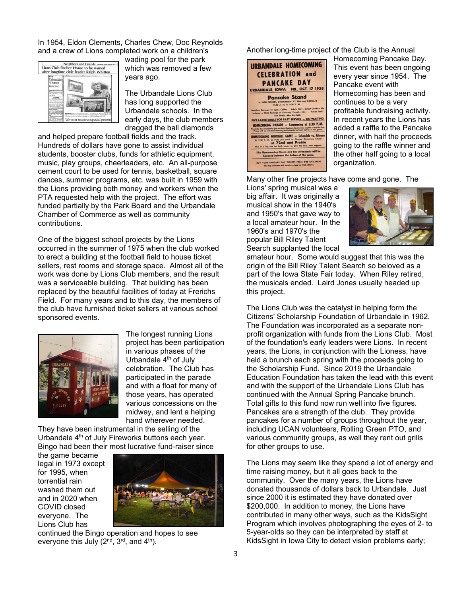In 1954, Eldon Clements, Charles Chew, Doc Reynolds and a crew of Lions completed work on a children's



wading pool for the park which was removed a few years ago.

The Urbandale Lions Club has long supported the Urbandale schools. In the early days, the club members dragged the ball diamonds

and helped prepare football fields and the track. Hundreds of dollars have gone to assist individual students, booster clubs, funds for athletic equipment, music, play groups, cheerleaders, etc. An all-purpose cement court to be used for tennis, basketball, square dances, summer programs, etc. was built in 1959 with the Lions providing both money and workers when the PTA requested help with the project. The effort was funded partially by the Park Board and the Urbandale Chamber of Commerce as well as community contributions.

One of the biggest school projects by the Lions occurred in the summer of 1975 when the club worked to erect a building at the football field to house ticket sellers, rest rooms and storage space. Almost all of the work was done by Lions Club members, and the result was a serviceable building. That building has been replaced by the beautiful facilities of today at Frerichs Field. For many years and to this day, the members of the club have furnished ticket sellers at various school sponsored events.



The longest running Lions project has been participation in various phases of the Urbandale  $4<sup>th</sup>$  of July celebration. The Club has participated in the parade and with a float for many of those years, has operated various concessions on the midway, and lent a helping hand wherever needed.

They have been instrumental in the selling of the Urbandale 4<sup>th</sup> of July Fireworks buttons each year. Bingo had been their most lucrative fund-raiser since

the game became legal in 1973 except for 1995, when torrential rain washed them out and in 2020 when COVID closed everyone. The Lions Club has



continued the Bingo operation and hopes to see everyone this July  $(2^{nd}, 3^{rd},$  and  $4^{th})$ .

Another long-time project of the Club is the Annual



Homecoming Pancake Day. This event has been ongoing every year since 1954. The Pancake event with Homecoming has been and continues to be a very profitable fundraising activity. In recent years the Lions has added a raffle to the Pancake dinner, with half the proceeds going to the raffle winner and the other half going to a local organization.

Many other fine projects have come and gone. The

Lions' spring musical was a big affair. It was originally a musical show in the 1940's and 1950's that gave way to a local amateur hour. In the 1960's and 1970's the popular Bill Riley Talent Search supplanted the local



amateur hour. Some would suggest that this was the origin of the Bill Riley Talent Search so beloved as a part of the Iowa State Fair today. When Riley retired, the musicals ended. Laird Jones usually headed up this project.

The Lions Club was the catalyst in helping form the Citizens' Scholarship Foundation of Urbandale in 1962. The Foundation was incorporated as a separate nonprofit organization with funds from the Lions Club. Most of the foundation's early leaders were Lions. In recent years, the Lions, in conjunction with the Lioness, have held a brunch each spring with the proceeds going to the Scholarship Fund. Since 2019 the Urbandale Education Foundation has taken the lead with this event and with the support of the Urbandale Lions Club has continued with the Annual Spring Pancake brunch. Total gifts to this fund now run well into five figures. Pancakes are a strength of the club. They provide pancakes for a number of groups throughout the year, including UCAN volunteers, Rolling Green PTO, and various community groups, as well they rent out grills for other groups to use.

The Lions may seem like they spend a lot of energy and time raising money, but it all goes back to the community. Over the many years, the Lions have donated thousands of dollars back to Urbandale. Just since 2000 it is estimated they have donated over \$200,000. In addition to money, the Lions have contributed in many other ways, such as the KidsSight Program which involves photographing the eyes of 2- to 5-year-olds so they can be interpreted by staff at KidsSight in Iowa City to detect vision problems early;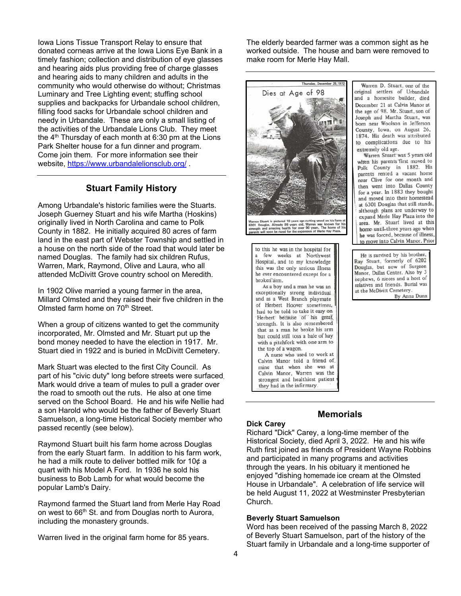Iowa Lions Tissue Transport Relay to ensure that donated corneas arrive at the Iowa Lions Eye Bank in a timely fashion; collection and distribution of eye glasses and hearing aids plus providing free of charge glasses and hearing aids to many children and adults in the community who would otherwise do without; Christmas Luminary and Tree Lighting event; stuffing school supplies and backpacks for Urbandale school children, filling food sacks for Urbandale school children and needy in Urbandale. These are only a small listing of the activities of the Urbandale Lions Club. They meet the  $4<sup>th</sup>$  Thursday of each month at 6:30 pm at the Lions Park Shelter house for a fun dinner and program. Come join them. For more information see their website, https://www.urbandalelionsclub.org/ .

## **Stuart Family History**

Among Urbandale's historic families were the Stuarts. Joseph Guerney Stuart and his wife Martha (Hoskins) originally lived in North Carolina and came to Polk County in 1882. He initially acquired 80 acres of farm land in the east part of Webster Township and settled in a house on the north side of the road that would later be named Douglas. The family had six children Rufus, Warren, Mark, Raymond, Olive and Laura, who all attended McDivitt Grove country school on Meredith.

In 1902 Olive married a young farmer in the area, Millard Olmsted and they raised their five children in the Olmsted farm home on 70<sup>th</sup> Street.

When a group of citizens wanted to get the community incorporated, Mr. Olmsted and Mr. Stuart put up the bond money needed to have the election in 1917. Mr. Stuart died in 1922 and is buried in McDivitt Cemetery.

Mark Stuart was elected to the first City Council. As part of his "civic duty" long before streets were surfaced, Mark would drive a team of mules to pull a grader over the road to smooth out the ruts. He also at one time served on the School Board. He and his wife Nellie had a son Harold who would be the father of Beverly Stuart Samuelson, a long-time Historical Society member who passed recently (see below).

Raymond Stuart built his farm home across Douglas from the early Stuart farm. In addition to his farm work, he had a milk route to deliver bottled milk for 10¢ a quart with his Model A Ford. In 1936 he sold his business to Bob Lamb for what would become the popular Lamb's Dairy.

Raymond farmed the Stuart land from Merle Hay Road on west to 66<sup>th</sup> St. and from Douglas north to Aurora, including the monastery grounds.

Warren lived in the original farm home for 85 years.

The elderly bearded farmer was a common sight as he worked outside. The house and barn were removed to make room for Merle Hay Mall.



As a boy and a man he was an exceptionally strong individual and as a West Branch playmate of Herbert Hoover sometimes. had to be told to take it easy on Herbert because of his great strength. It is also remembered that as a man he broke his arm but could still toss a bale of hay with a pitchfork with one arm to the top of a wagon. A nurse who used to work at

Calvin Manor told a friend of mine that when she was at Calvin Manor, Warren was the strongest and healthiest patient they had in the infirmary.

Warren D. Stuart, one of the original settlers of Urbandale and a homesite builder, died December 21 at Calvin Manor at the age of 98. Mr. Stuart, son of Joseph and Martha Stuart, was born near Woolson in Jefferson County, Iowa, on August 26, 1874. His death was attributed to complications due to his extremely old age.

Warren Stuart was 5 years old when his parents first moved to Polk County in 1882. His parents rented a vacant home near Clive for one month and then went into Dallas County for a year. In 1883 they bought and moved into their homestead at 6301 Douglas that still stands, although plans are underway to expand Merle Hay Plaza into the area. Mr. Stuart lived at this home until three years ago when he was forced, because of illness, to move into Calvin Manor. Prior

He is survived by his brother, Ray Stuart, formerly of 6202 Douglas, but now of Surgeon Manor, Dallas Center. Also by 3 nephews, 6 nieces and a host of relatives and friends. Burial was at the McDivitt Cemetery. By Anna Dunn

## **Memorials**

#### **Dick Carey**

Richard "Dick" Carey, a long-time member of the Historical Society, died April 3, 2022. He and his wife Ruth first joined as friends of President Wayne Robbins and participated in many programs and activities through the years. In his obituary it mentioned he enjoyed "dishing homemade ice cream at the Olmsted House in Urbandale". A celebration of life service will be held August 11, 2022 at Westminster Presbyterian Church.

#### **Beverly Stuart Samuelson**

Word has been received of the passing March 8, 2022 of Beverly Stuart Samuelson, part of the history of the Stuart family in Urbandale and a long-time supporter of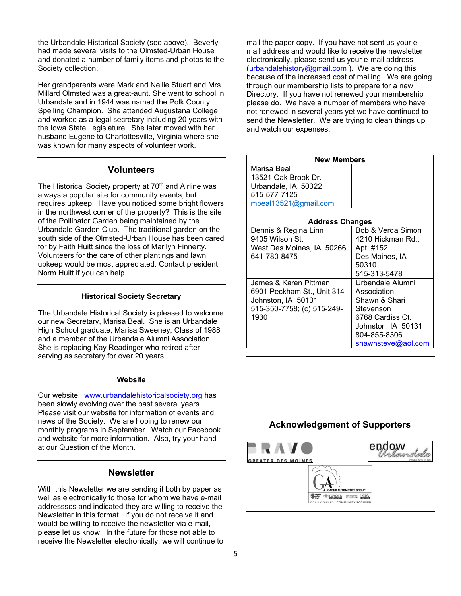the Urbandale Historical Society (see above). Beverly had made several visits to the Olmsted-Urban House and donated a number of family items and photos to the Society collection.

Her grandparents were Mark and Nellie Stuart and Mrs. Millard Olmsted was a great-aunt. She went to school in Urbandale and in 1944 was named the Polk County Spelling Champion. She attended Augustana College and worked as a legal secretary including 20 years with the Iowa State Legislature. She later moved with her husband Eugene to Charlottesville, Virginia where she was known for many aspects of volunteer work.

## **Volunteers**

The Historical Society property at 70<sup>th</sup> and Airline was always a popular site for community events, but requires upkeep. Have you noticed some bright flowers in the northwest corner of the property? This is the site of the Pollinator Garden being maintained by the Urbandale Garden Club. The traditional garden on the south side of the Olmsted-Urban House has been cared for by Faith Huitt since the loss of Marilyn Finnerty. Volunteers for the care of other plantings and lawn upkeep would be most appreciated. Contact president Norm Huitt if you can help.

#### **Historical Society Secretary**

The Urbandale Historical Society is pleased to welcome our new Secretary, Marisa Beal. She is an Urbandale High School graduate, Marisa Sweeney, Class of 1988 and a member of the Urbandale Alumni Association. She is replacing Kay Readinger who retired after serving as secretary for over 20 years.

#### **Website**

Our website: www.urbandalehistoricalsociety.org has been slowly evolving over the past several years. Please visit our website for information of events and news of the Society. We are hoping to renew our monthly programs in September. Watch our Facebook and website for more information. Also, try your hand at our Question of the Month.

### **Newsletter**

With this Newsletter we are sending it both by paper as well as electronically to those for whom we have e-mail addressses and indicated they are willing to receive the Newsletter in this format. If you do not receive it and would be willing to receive the newsletter via e-mail, please let us know. In the future for those not able to receive the Newsletter electronically, we will continue to mail the paper copy. If you have not sent us your email address and would like to receive the newsletter electronically, please send us your e-mail address (urbandalehistory@gmail.com). We are doing this because of the increased cost of mailing. We are going through our membership lists to prepare for a new Directory. If you have not renewed your membership please do. We have a number of members who have not renewed in several years yet we have continued to send the Newsletter. We are trying to clean things up and watch our expenses.

| <b>New Members</b>         |                    |  |  |
|----------------------------|--------------------|--|--|
| Marisa Beal                |                    |  |  |
| 13521 Oak Brook Dr.        |                    |  |  |
| Urbandale, IA 50322        |                    |  |  |
| 515-577-7125               |                    |  |  |
| mbeal13521@gmail.com       |                    |  |  |
|                            |                    |  |  |
| <b>Address Changes</b>     |                    |  |  |
| Dennis & Regina Linn       | Bob & Verda Simon  |  |  |
| 9405 Wilson St.            | 4210 Hickman Rd.,  |  |  |
| West Des Moines, IA 50266  | Apt. #152          |  |  |
| 641-780-8475               | Des Moines, IA     |  |  |
|                            | 50310              |  |  |
|                            | 515-313-5478       |  |  |
| James & Karen Pittman      | Urbandale Alumni   |  |  |
| 6901 Peckham St., Unit 314 | Association        |  |  |
| Johnston, IA 50131         | Shawn & Shari      |  |  |
| 515-350-7758; (c) 515-249- | Stevenson          |  |  |
| 1930                       | 6768 Cardiss Ct.   |  |  |
|                            | Johnston, IA 50131 |  |  |
|                            | 804-855-8306       |  |  |
|                            | shawnsteve@aol.com |  |  |

## **Acknowledgement of Supporters**